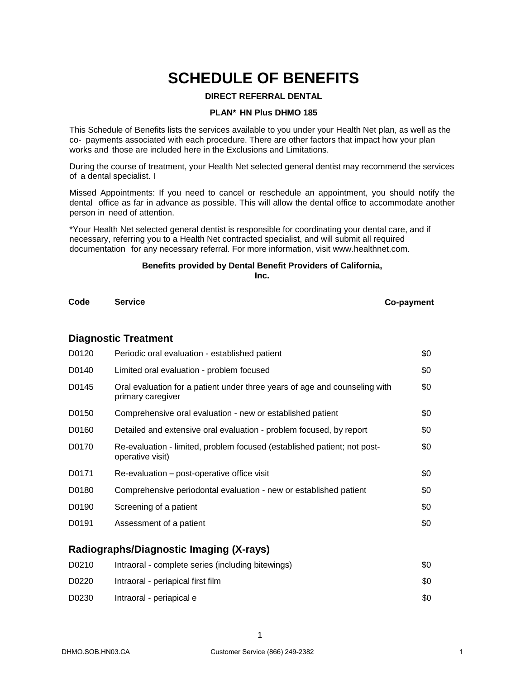# **SCHEDULE OF BENEFITS**

#### **DIRECT REFERRAL DENTAL**

#### **PLAN\* HN Plus DHMO 185**

This Schedule of Benefits lists the services available to you under your Health Net plan, as well as the co- payments associated with each procedure. There are other factors that impact how your plan works and those are included here in the Exclusions and Limitations.

During the course of treatment, your Health Net selected general dentist may recommend the services of a dental specialist. I

Missed Appointments: If you need to cancel or reschedule an appointment, you should notify the dental office as far in advance as possible. This will allow the dental office to accommodate another person in need of attention.

\*Your Health Net selected general dentist is responsible for coordinating your dental care, and if necessary, referring you to a Health Net contracted specialist, and will submit all required documentation for any necessary referral. For more information, visit www.healthnet.com.

# **Benefits provided by Dental Benefit Providers [of California,](http://www.healthnet.com/)**

**Inc.**

**Code Service Co-payment**

#### **Diagnostic Treatment**

| Periodic oral evaluation - established patient                                                  | \$0 |
|-------------------------------------------------------------------------------------------------|-----|
| Limited oral evaluation - problem focused                                                       | \$0 |
| Oral evaluation for a patient under three years of age and counseling with<br>primary caregiver | \$0 |
| Comprehensive oral evaluation - new or established patient                                      | \$0 |
| Detailed and extensive oral evaluation - problem focused, by report                             | \$0 |
| Re-evaluation - limited, problem focused (established patient; not post-<br>operative visit)    | \$0 |
| Re-evaluation – post-operative office visit                                                     | \$0 |
| Comprehensive periodontal evaluation - new or established patient                               | \$0 |
| Screening of a patient                                                                          | \$0 |
| Assessment of a patient                                                                         | \$0 |
|                                                                                                 |     |

# **Radiographs/Diagnostic Imaging (X-rays)**

| D0210 | Intraoral - complete series (including bitewings) | \$0 |
|-------|---------------------------------------------------|-----|
| D0220 | Intraoral - periapical first film                 | \$0 |
| D0230 | Intraoral - periapical e                          | \$0 |

1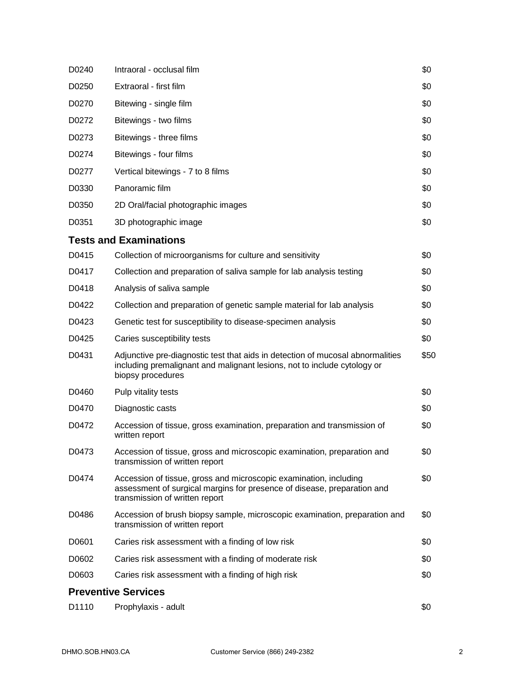| D0240 | Intraoral - occlusal film                                                                                                                                                       | \$0  |
|-------|---------------------------------------------------------------------------------------------------------------------------------------------------------------------------------|------|
| D0250 | Extraoral - first film                                                                                                                                                          | \$0  |
| D0270 | Bitewing - single film                                                                                                                                                          | \$0  |
| D0272 | Bitewings - two films                                                                                                                                                           | \$0  |
| D0273 | Bitewings - three films                                                                                                                                                         | \$0  |
| D0274 | Bitewings - four films                                                                                                                                                          | \$0  |
| D0277 | Vertical bitewings - 7 to 8 films                                                                                                                                               | \$0  |
| D0330 | Panoramic film                                                                                                                                                                  | \$0  |
| D0350 | 2D Oral/facial photographic images                                                                                                                                              | \$0  |
| D0351 | 3D photographic image                                                                                                                                                           | \$0  |
|       | <b>Tests and Examinations</b>                                                                                                                                                   |      |
| D0415 | Collection of microorganisms for culture and sensitivity                                                                                                                        | \$0  |
| D0417 | Collection and preparation of saliva sample for lab analysis testing                                                                                                            | \$0  |
| D0418 | Analysis of saliva sample                                                                                                                                                       | \$0  |
| D0422 | Collection and preparation of genetic sample material for lab analysis                                                                                                          | \$0  |
| D0423 | Genetic test for susceptibility to disease-specimen analysis                                                                                                                    | \$0  |
| D0425 | Caries susceptibility tests                                                                                                                                                     | \$0  |
| D0431 | Adjunctive pre-diagnostic test that aids in detection of mucosal abnormalities<br>including premalignant and malignant lesions, not to include cytology or<br>biopsy procedures | \$50 |
| D0460 | Pulp vitality tests                                                                                                                                                             | \$0  |
| D0470 | Diagnostic casts                                                                                                                                                                | \$0  |
| D0472 | Accession of tissue, gross examination, preparation and transmission of<br>written report                                                                                       | \$0  |
| D0473 | Accession of tissue, gross and microscopic examination, preparation and<br>transmission of written report                                                                       | \$0  |
| D0474 | Accession of tissue, gross and microscopic examination, including<br>assessment of surgical margins for presence of disease, preparation and<br>transmission of written report  | \$0  |
| D0486 | Accession of brush biopsy sample, microscopic examination, preparation and<br>transmission of written report                                                                    | \$0  |
| D0601 | Caries risk assessment with a finding of low risk                                                                                                                               | \$0  |
| D0602 | Caries risk assessment with a finding of moderate risk                                                                                                                          | \$0  |
| D0603 | Caries risk assessment with a finding of high risk                                                                                                                              | \$0  |
|       | <b>Preventive Services</b>                                                                                                                                                      |      |
| D1110 | Prophylaxis - adult                                                                                                                                                             | \$0  |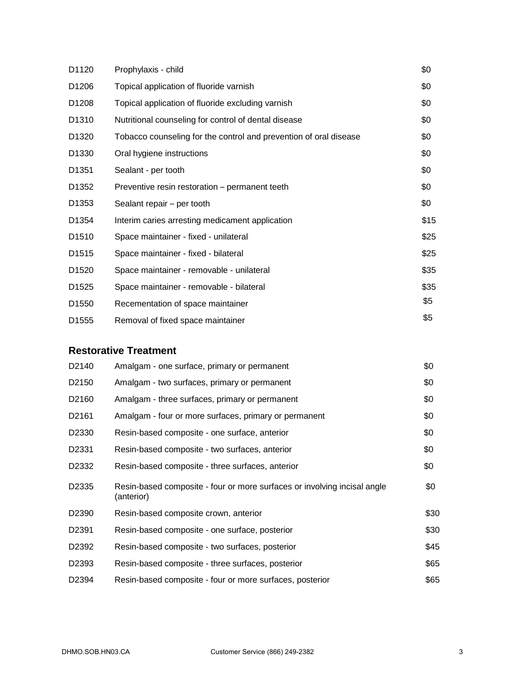| D1120             | Prophylaxis - child                                               | \$0  |
|-------------------|-------------------------------------------------------------------|------|
| D <sub>1206</sub> | Topical application of fluoride varnish                           | \$0  |
| D <sub>1208</sub> | Topical application of fluoride excluding varnish                 | \$0  |
| D <sub>1310</sub> | Nutritional counseling for control of dental disease              | \$0  |
| D <sub>1320</sub> | Tobacco counseling for the control and prevention of oral disease | \$0  |
| D <sub>1330</sub> | Oral hygiene instructions                                         | \$0  |
| D <sub>1351</sub> | Sealant - per tooth                                               | \$0  |
| D <sub>1352</sub> | Preventive resin restoration - permanent teeth                    | \$0  |
| D <sub>1353</sub> | Sealant repair – per tooth                                        | \$0  |
| D1354             | Interim caries arresting medicament application                   | \$15 |
| D <sub>1510</sub> | Space maintainer - fixed - unilateral                             | \$25 |
| D <sub>1515</sub> | Space maintainer - fixed - bilateral                              | \$25 |
| D <sub>1520</sub> | Space maintainer - removable - unilateral                         | \$35 |
| D <sub>1525</sub> | Space maintainer - removable - bilateral                          | \$35 |
| D <sub>1550</sub> | Recementation of space maintainer                                 | \$5  |
| D <sub>1555</sub> | Removal of fixed space maintainer                                 | \$5  |

# **Restorative Treatment**

| D <sub>2140</sub> | Amalgam - one surface, primary or permanent                                            | \$0  |
|-------------------|----------------------------------------------------------------------------------------|------|
| D <sub>2150</sub> | Amalgam - two surfaces, primary or permanent                                           | \$0  |
| D <sub>2160</sub> | Amalgam - three surfaces, primary or permanent                                         | \$0  |
| D <sub>2161</sub> | Amalgam - four or more surfaces, primary or permanent                                  | \$0  |
| D <sub>2330</sub> | Resin-based composite - one surface, anterior                                          | \$0  |
| D <sub>2331</sub> | Resin-based composite - two surfaces, anterior                                         | \$0  |
| D2332             | Resin-based composite - three surfaces, anterior                                       | \$0  |
| D <sub>2335</sub> | Resin-based composite - four or more surfaces or involving incisal angle<br>(anterior) | \$0  |
| D <sub>2390</sub> | Resin-based composite crown, anterior                                                  | \$30 |
| D <sub>2391</sub> | Resin-based composite - one surface, posterior                                         | \$30 |
| D2392             | Resin-based composite - two surfaces, posterior                                        | \$45 |
| D <sub>2393</sub> | Resin-based composite - three surfaces, posterior                                      | \$65 |
| D <sub>2394</sub> | Resin-based composite - four or more surfaces, posterior                               | \$65 |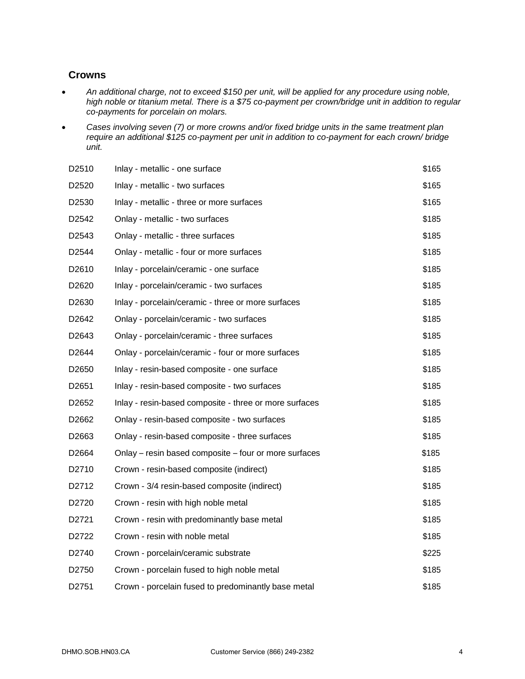### **Crowns**

- *An additional charge, not to exceed \$150 per unit, will be applied for any procedure using noble, high noble or titanium metal. There is a \$75 co-payment per crown/bridge unit in addition to regular co-payments for porcelain on molars.*
- *Cases involving seven (7) or more crowns and/or fixed bridge units in the same treatment plan require an additional \$125 co-payment per unit in addition to co-payment for each crown/ bridge unit.*

| D2510             | Inlay - metallic - one surface                         | \$165 |
|-------------------|--------------------------------------------------------|-------|
| D2520             | Inlay - metallic - two surfaces                        | \$165 |
| D <sub>2530</sub> | Inlay - metallic - three or more surfaces              | \$165 |
| D2542             | Onlay - metallic - two surfaces                        | \$185 |
| D <sub>2543</sub> | Onlay - metallic - three surfaces                      | \$185 |
| D <sub>2544</sub> | Onlay - metallic - four or more surfaces               | \$185 |
| D2610             | Inlay - porcelain/ceramic - one surface                | \$185 |
| D <sub>2620</sub> | Inlay - porcelain/ceramic - two surfaces               | \$185 |
| D <sub>2630</sub> | Inlay - porcelain/ceramic - three or more surfaces     | \$185 |
| D2642             | Onlay - porcelain/ceramic - two surfaces               | \$185 |
| D <sub>2643</sub> | Onlay - porcelain/ceramic - three surfaces             | \$185 |
| D <sub>2644</sub> | Onlay - porcelain/ceramic - four or more surfaces      | \$185 |
| D <sub>2650</sub> | Inlay - resin-based composite - one surface            | \$185 |
| D <sub>2651</sub> | Inlay - resin-based composite - two surfaces           | \$185 |
| D <sub>2652</sub> | Inlay - resin-based composite - three or more surfaces | \$185 |
| D <sub>2662</sub> | Onlay - resin-based composite - two surfaces           | \$185 |
| D <sub>2663</sub> | Onlay - resin-based composite - three surfaces         | \$185 |
| D2664             | Onlay – resin based composite – four or more surfaces  | \$185 |
| D2710             | Crown - resin-based composite (indirect)               | \$185 |
| D <sub>2712</sub> | Crown - 3/4 resin-based composite (indirect)           | \$185 |
| D <sub>2720</sub> | Crown - resin with high noble metal                    | \$185 |
| D <sub>2721</sub> | Crown - resin with predominantly base metal            | \$185 |
| D <sub>2722</sub> | Crown - resin with noble metal                         | \$185 |
| D <sub>2740</sub> | Crown - porcelain/ceramic substrate                    | \$225 |
| D <sub>2750</sub> | Crown - porcelain fused to high noble metal            | \$185 |
| D <sub>2751</sub> | Crown - porcelain fused to predominantly base metal    | \$185 |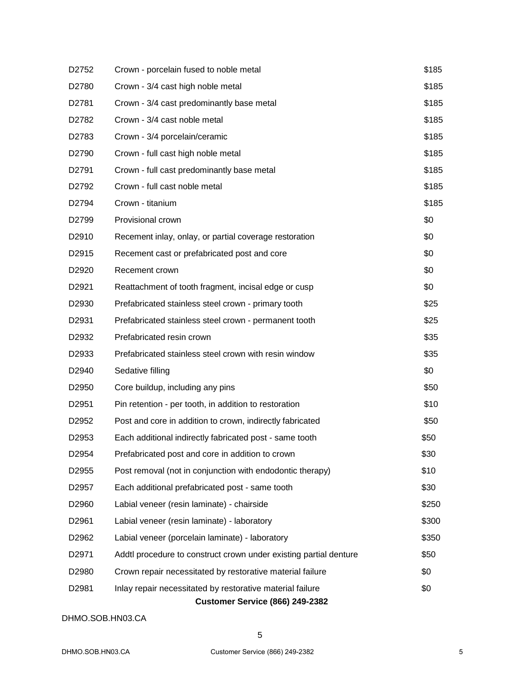| D <sub>2752</sub> | Crown - porcelain fused to noble metal                            | \$185 |
|-------------------|-------------------------------------------------------------------|-------|
| D2780             | Crown - 3/4 cast high noble metal                                 | \$185 |
| D <sub>2781</sub> | Crown - 3/4 cast predominantly base metal                         | \$185 |
| D <sub>2782</sub> | Crown - 3/4 cast noble metal                                      | \$185 |
| D <sub>2783</sub> | Crown - 3/4 porcelain/ceramic                                     | \$185 |
| D2790             | Crown - full cast high noble metal                                | \$185 |
| D <sub>2791</sub> | Crown - full cast predominantly base metal                        | \$185 |
| D <sub>2792</sub> | Crown - full cast noble metal                                     | \$185 |
| D2794             | Crown - titanium                                                  | \$185 |
| D2799             | Provisional crown                                                 | \$0   |
| D <sub>2910</sub> | Recement inlay, onlay, or partial coverage restoration            | \$0   |
| D <sub>2915</sub> | Recement cast or prefabricated post and core                      | \$0   |
| D <sub>2920</sub> | Recement crown                                                    | \$0   |
| D <sub>2921</sub> | Reattachment of tooth fragment, incisal edge or cusp              | \$0   |
| D2930             | Prefabricated stainless steel crown - primary tooth               | \$25  |
| D <sub>2931</sub> | Prefabricated stainless steel crown - permanent tooth             | \$25  |
| D2932             | Prefabricated resin crown                                         | \$35  |
| D <sub>2933</sub> | Prefabricated stainless steel crown with resin window             | \$35  |
| D <sub>2940</sub> | Sedative filling                                                  | \$0   |
| D <sub>2950</sub> | Core buildup, including any pins                                  | \$50  |
| D <sub>2951</sub> | Pin retention - per tooth, in addition to restoration             | \$10  |
| D2952             | Post and core in addition to crown, indirectly fabricated         | \$50  |
| D <sub>2953</sub> | Each additional indirectly fabricated post - same tooth           | \$50  |
| D <sub>2954</sub> | Prefabricated post and core in addition to crown                  | \$30  |
| D <sub>2955</sub> | Post removal (not in conjunction with endodontic therapy)         | \$10  |
| D <sub>2957</sub> | Each additional prefabricated post - same tooth                   | \$30  |
| D <sub>2960</sub> | Labial veneer (resin laminate) - chairside                        | \$250 |
| D2961             | Labial veneer (resin laminate) - laboratory                       | \$300 |
| D <sub>2962</sub> | Labial veneer (porcelain laminate) - laboratory                   | \$350 |
| D <sub>2971</sub> | Addtl procedure to construct crown under existing partial denture | \$50  |
| D <sub>2980</sub> | Crown repair necessitated by restorative material failure         | \$0   |
| D <sub>2981</sub> | Inlay repair necessitated by restorative material failure         | \$0   |
|                   | <b>Customer Service (866) 249-2382</b>                            |       |

#### DHMO.SOB.HN03.CA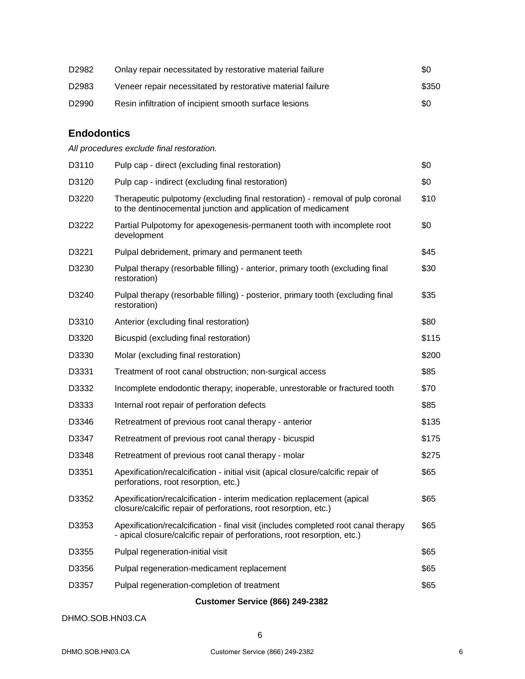| D2982             | Onlay repair necessitated by restorative material failure  | \$0   |
|-------------------|------------------------------------------------------------|-------|
| D2983             | Veneer repair necessitated by restorative material failure | \$350 |
| D <sub>2990</sub> | Resin infiltration of incipient smooth surface lesions     | \$0   |

# **Endodontics**

*All procedures exclude final restoration.*

| D3110 | Pulp cap - direct (excluding final restoration)                                                                                                                | \$0   |
|-------|----------------------------------------------------------------------------------------------------------------------------------------------------------------|-------|
| D3120 | Pulp cap - indirect (excluding final restoration)                                                                                                              | \$0   |
| D3220 | Therapeutic pulpotomy (excluding final restoration) - removal of pulp coronal<br>to the dentinocemental junction and application of medicament                 | \$10  |
| D3222 | Partial Pulpotomy for apexogenesis-permanent tooth with incomplete root<br>development                                                                         | \$0   |
| D3221 | Pulpal debridement, primary and permanent teeth                                                                                                                | \$45  |
| D3230 | Pulpal therapy (resorbable filling) - anterior, primary tooth (excluding final<br>restoration)                                                                 | \$30  |
| D3240 | Pulpal therapy (resorbable filling) - posterior, primary tooth (excluding final<br>restoration)                                                                | \$35  |
| D3310 | Anterior (excluding final restoration)                                                                                                                         | \$80  |
| D3320 | Bicuspid (excluding final restoration)                                                                                                                         | \$115 |
| D3330 | Molar (excluding final restoration)                                                                                                                            | \$200 |
| D3331 | Treatment of root canal obstruction; non-surgical access                                                                                                       | \$85  |
| D3332 | Incomplete endodontic therapy; inoperable, unrestorable or fractured tooth                                                                                     | \$70  |
| D3333 | Internal root repair of perforation defects                                                                                                                    | \$85  |
| D3346 | Retreatment of previous root canal therapy - anterior                                                                                                          | \$135 |
| D3347 | Retreatment of previous root canal therapy - bicuspid                                                                                                          | \$175 |
| D3348 | Retreatment of previous root canal therapy - molar                                                                                                             | \$275 |
| D3351 | Apexification/recalcification - initial visit (apical closure/calcific repair of<br>perforations, root resorption, etc.)                                       | \$65  |
| D3352 | Apexification/recalcification - interim medication replacement (apical<br>closure/calcific repair of perforations, root resorption, etc.)                      | \$65  |
| D3353 | Apexification/recalcification - final visit (includes completed root canal therapy<br>- apical closure/calcific repair of perforations, root resorption, etc.) | \$65  |
| D3355 | Pulpal regeneration-initial visit                                                                                                                              | \$65  |
| D3356 | Pulpal regeneration-medicament replacement                                                                                                                     | \$65  |
| D3357 | Pulpal regeneration-completion of treatment                                                                                                                    | \$65  |
|       | <b>Customer Service (866) 249-2382</b>                                                                                                                         |       |

#### DHMO.SOB.HN03.CA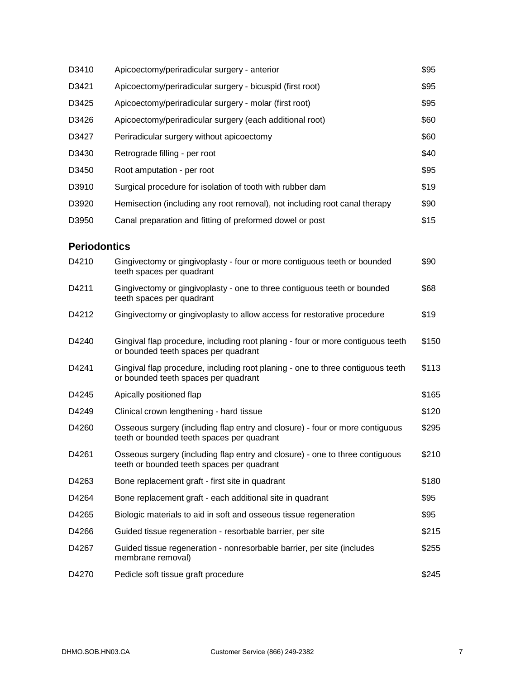| D3410               | Apicoectomy/periradicular surgery - anterior                                                                               | \$95  |
|---------------------|----------------------------------------------------------------------------------------------------------------------------|-------|
| D3421               | Apicoectomy/periradicular surgery - bicuspid (first root)                                                                  | \$95  |
| D3425               | Apicoectomy/periradicular surgery - molar (first root)                                                                     | \$95  |
| D3426               | Apicoectomy/periradicular surgery (each additional root)                                                                   | \$60  |
| D3427               | Periradicular surgery without apicoectomy                                                                                  | \$60  |
| D3430               | Retrograde filling - per root                                                                                              | \$40  |
| D3450               | Root amputation - per root                                                                                                 | \$95  |
| D3910               | Surgical procedure for isolation of tooth with rubber dam                                                                  | \$19  |
| D3920               | Hemisection (including any root removal), not including root canal therapy                                                 | \$90  |
| D3950               | Canal preparation and fitting of preformed dowel or post                                                                   | \$15  |
| <b>Periodontics</b> |                                                                                                                            |       |
| D4210               | Gingivectomy or gingivoplasty - four or more contiguous teeth or bounded<br>teeth spaces per quadrant                      | \$90  |
| D4211               | Gingivectomy or gingivoplasty - one to three contiguous teeth or bounded<br>teeth spaces per quadrant                      | \$68  |
| D4212               | Gingivectomy or gingivoplasty to allow access for restorative procedure                                                    | \$19  |
| D4240               | Gingival flap procedure, including root planing - four or more contiguous teeth<br>or bounded teeth spaces per quadrant    | \$150 |
| D4241               | Gingival flap procedure, including root planing - one to three contiguous teeth<br>or bounded teeth spaces per quadrant    | \$113 |
| D4245               | Apically positioned flap                                                                                                   | \$165 |
| D4249               | Clinical crown lengthening - hard tissue                                                                                   | \$120 |
| D4260               | Osseous surgery (including flap entry and closure) - four or more contiguous<br>teeth or bounded teeth spaces per quadrant | \$295 |
| D4261               | Osseous surgery (including flap entry and closure) - one to three contiguous<br>teeth or bounded teeth spaces per quadrant | \$210 |
| D4263               | Bone replacement graft - first site in quadrant                                                                            | \$180 |
| D4264               | Bone replacement graft - each additional site in quadrant                                                                  | \$95  |
| D4265               | Biologic materials to aid in soft and osseous tissue regeneration                                                          | \$95  |
| D4266               | Guided tissue regeneration - resorbable barrier, per site                                                                  | \$215 |
| D4267               | Guided tissue regeneration - nonresorbable barrier, per site (includes<br>membrane removal)                                | \$255 |
| D4270               | Pedicle soft tissue graft procedure                                                                                        | \$245 |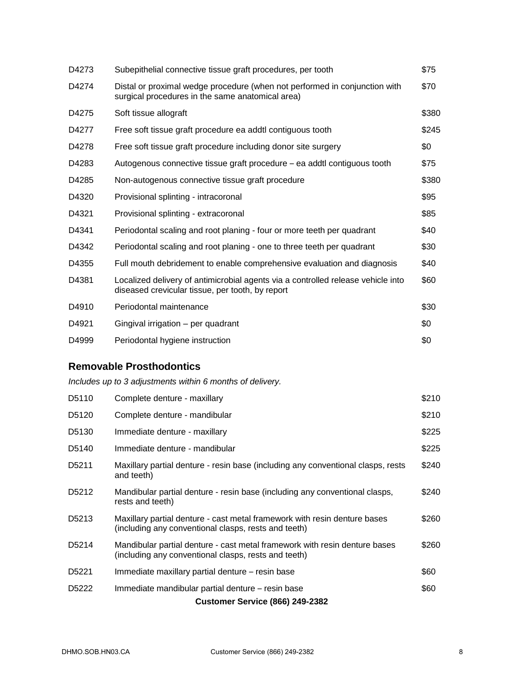| D4273 | Subepithelial connective tissue graft procedures, per tooth                                                                          | \$75  |
|-------|--------------------------------------------------------------------------------------------------------------------------------------|-------|
| D4274 | Distal or proximal wedge procedure (when not performed in conjunction with<br>surgical procedures in the same anatomical area)       | \$70  |
| D4275 | Soft tissue allograft                                                                                                                | \$380 |
| D4277 | Free soft tissue graft procedure ea addtl contiguous tooth                                                                           | \$245 |
| D4278 | Free soft tissue graft procedure including donor site surgery                                                                        | \$0   |
| D4283 | Autogenous connective tissue graft procedure – ea addtl contiguous tooth                                                             | \$75  |
| D4285 | Non-autogenous connective tissue graft procedure                                                                                     | \$380 |
| D4320 | Provisional splinting - intracoronal                                                                                                 | \$95  |
| D4321 | Provisional splinting - extracoronal                                                                                                 | \$85  |
| D4341 | Periodontal scaling and root planing - four or more teeth per quadrant                                                               | \$40  |
| D4342 | Periodontal scaling and root planing - one to three teeth per quadrant                                                               | \$30  |
| D4355 | Full mouth debridement to enable comprehensive evaluation and diagnosis                                                              | \$40  |
| D4381 | Localized delivery of antimicrobial agents via a controlled release vehicle into<br>diseased crevicular tissue, per tooth, by report | \$60  |
| D4910 | Periodontal maintenance                                                                                                              | \$30  |
| D4921 | Gingival irrigation - per quadrant                                                                                                   | \$0   |
| D4999 | Periodontal hygiene instruction                                                                                                      | \$0   |

# **Removable Prosthodontics**

*Includes up to 3 adjustments within 6 months of delivery.*

| D <sub>5110</sub>  | Complete denture - maxillary                                                                                                       | \$210 |
|--------------------|------------------------------------------------------------------------------------------------------------------------------------|-------|
| D <sub>5</sub> 120 | Complete denture - mandibular                                                                                                      | \$210 |
| D <sub>5</sub> 130 | Immediate denture - maxillary                                                                                                      | \$225 |
| D <sub>5</sub> 140 | Immediate denture - mandibular                                                                                                     | \$225 |
| D <sub>5211</sub>  | Maxillary partial denture - resin base (including any conventional clasps, rests<br>and teeth)                                     | \$240 |
| D <sub>5212</sub>  | Mandibular partial denture - resin base (including any conventional clasps,<br>rests and teeth)                                    | \$240 |
| D <sub>5213</sub>  | Maxillary partial denture - cast metal framework with resin denture bases<br>(including any conventional clasps, rests and teeth)  | \$260 |
| D <sub>5214</sub>  | Mandibular partial denture - cast metal framework with resin denture bases<br>(including any conventional clasps, rests and teeth) | \$260 |
| D <sub>5221</sub>  | Immediate maxillary partial denture – resin base                                                                                   | \$60  |
| D <sub>5222</sub>  | Immediate mandibular partial denture – resin base                                                                                  | \$60  |
|                    | <b>Customer Service (866) 249-2382</b>                                                                                             |       |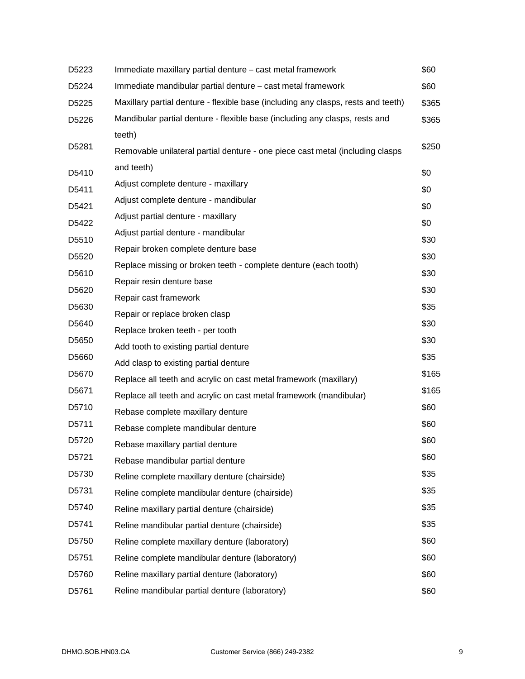| D5223 | Immediate maxillary partial denture - cast metal framework                        | \$60  |
|-------|-----------------------------------------------------------------------------------|-------|
| D5224 | Immediate mandibular partial denture – cast metal framework                       | \$60  |
| D5225 | Maxillary partial denture - flexible base (including any clasps, rests and teeth) | \$365 |
| D5226 | Mandibular partial denture - flexible base (including any clasps, rests and       | \$365 |
|       | teeth)                                                                            |       |
| D5281 | Removable unilateral partial denture - one piece cast metal (including clasps     | \$250 |
| D5410 | and teeth)                                                                        | \$0   |
| D5411 | Adjust complete denture - maxillary                                               | \$0   |
| D5421 | Adjust complete denture - mandibular                                              | \$0   |
| D5422 | Adjust partial denture - maxillary                                                | \$0   |
| D5510 | Adjust partial denture - mandibular                                               | \$30  |
| D5520 | Repair broken complete denture base                                               | \$30  |
| D5610 | Replace missing or broken teeth - complete denture (each tooth)                   | \$30  |
| D5620 | Repair resin denture base                                                         | \$30  |
|       | Repair cast framework                                                             |       |
| D5630 | Repair or replace broken clasp                                                    | \$35  |
| D5640 | Replace broken teeth - per tooth                                                  | \$30  |
| D5650 | Add tooth to existing partial denture                                             | \$30  |
| D5660 | Add clasp to existing partial denture                                             | \$35  |
| D5670 | Replace all teeth and acrylic on cast metal framework (maxillary)                 | \$165 |
| D5671 | Replace all teeth and acrylic on cast metal framework (mandibular)                | \$165 |
| D5710 | Rebase complete maxillary denture                                                 | \$60  |
| D5711 | Rebase complete mandibular denture                                                | \$60  |
| D5720 | Rebase maxillary partial denture                                                  | \$60  |
| D5721 | Rebase mandibular partial denture                                                 | \$60  |
| D5730 | Reline complete maxillary denture (chairside)                                     | \$35  |
| D5731 | Reline complete mandibular denture (chairside)                                    | \$35  |
| D5740 | Reline maxillary partial denture (chairside)                                      | \$35  |
| D5741 | Reline mandibular partial denture (chairside)                                     | \$35  |
| D5750 | Reline complete maxillary denture (laboratory)                                    | \$60  |
| D5751 | Reline complete mandibular denture (laboratory)                                   | \$60  |
| D5760 | Reline maxillary partial denture (laboratory)                                     | \$60  |
| D5761 | Reline mandibular partial denture (laboratory)                                    | \$60  |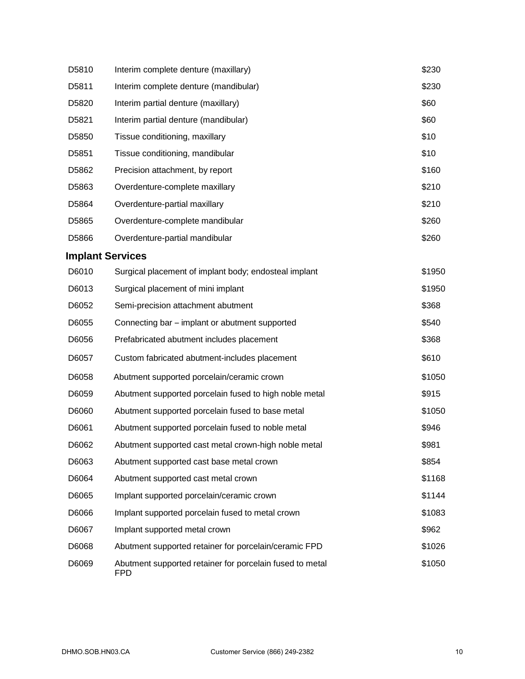| D5810 | Interim complete denture (maxillary)                                   | \$230  |
|-------|------------------------------------------------------------------------|--------|
| D5811 | Interim complete denture (mandibular)                                  | \$230  |
| D5820 | Interim partial denture (maxillary)                                    | \$60   |
| D5821 | Interim partial denture (mandibular)                                   | \$60   |
| D5850 | Tissue conditioning, maxillary                                         | \$10   |
| D5851 | Tissue conditioning, mandibular                                        | \$10   |
| D5862 | Precision attachment, by report                                        | \$160  |
| D5863 | Overdenture-complete maxillary                                         | \$210  |
| D5864 | Overdenture-partial maxillary                                          | \$210  |
| D5865 | Overdenture-complete mandibular                                        | \$260  |
| D5866 | Overdenture-partial mandibular                                         | \$260  |
|       | <b>Implant Services</b>                                                |        |
| D6010 | Surgical placement of implant body; endosteal implant                  | \$1950 |
| D6013 | Surgical placement of mini implant                                     | \$1950 |
| D6052 | Semi-precision attachment abutment                                     | \$368  |
| D6055 | Connecting bar – implant or abutment supported                         | \$540  |
| D6056 | Prefabricated abutment includes placement                              | \$368  |
| D6057 | Custom fabricated abutment-includes placement                          | \$610  |
| D6058 | Abutment supported porcelain/ceramic crown                             | \$1050 |
| D6059 | Abutment supported porcelain fused to high noble metal                 | \$915  |
| D6060 | Abutment supported porcelain fused to base metal                       | \$1050 |
| D6061 | Abutment supported porcelain fused to noble metal                      | \$946  |
| D6062 | Abutment supported cast metal crown-high noble metal                   | \$981  |
| D6063 | Abutment supported cast base metal crown                               | \$854  |
| D6064 | Abutment supported cast metal crown                                    | \$1168 |
| D6065 | Implant supported porcelain/ceramic crown                              | \$1144 |
| D6066 | Implant supported porcelain fused to metal crown                       | \$1083 |
| D6067 | Implant supported metal crown                                          | \$962  |
| D6068 | Abutment supported retainer for porcelain/ceramic FPD                  | \$1026 |
| D6069 | Abutment supported retainer for porcelain fused to metal<br><b>FPD</b> | \$1050 |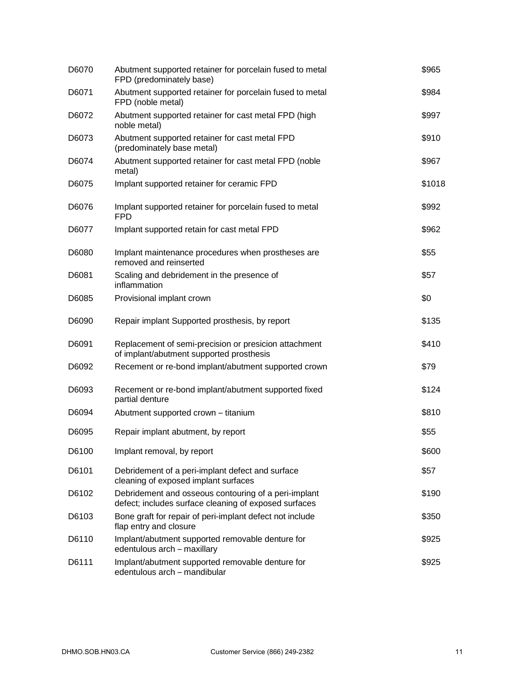| D6070 | Abutment supported retainer for porcelain fused to metal<br>FPD (predominately base)                          | \$965  |
|-------|---------------------------------------------------------------------------------------------------------------|--------|
| D6071 | Abutment supported retainer for porcelain fused to metal<br>FPD (noble metal)                                 | \$984  |
| D6072 | Abutment supported retainer for cast metal FPD (high<br>noble metal)                                          | \$997  |
| D6073 | Abutment supported retainer for cast metal FPD<br>(predominately base metal)                                  | \$910  |
| D6074 | Abutment supported retainer for cast metal FPD (noble<br>metal)                                               | \$967  |
| D6075 | Implant supported retainer for ceramic FPD                                                                    | \$1018 |
| D6076 | Implant supported retainer for porcelain fused to metal<br><b>FPD</b>                                         | \$992  |
| D6077 | Implant supported retain for cast metal FPD                                                                   | \$962  |
| D6080 | Implant maintenance procedures when prostheses are<br>removed and reinserted                                  | \$55   |
| D6081 | Scaling and debridement in the presence of<br>inflammation                                                    | \$57   |
| D6085 | Provisional implant crown                                                                                     | \$0    |
| D6090 | Repair implant Supported prosthesis, by report                                                                | \$135  |
| D6091 | Replacement of semi-precision or presicion attachment<br>of implant/abutment supported prosthesis             | \$410  |
| D6092 | Recement or re-bond implant/abutment supported crown                                                          | \$79   |
| D6093 | Recement or re-bond implant/abutment supported fixed<br>partial denture                                       | \$124  |
| D6094 | Abutment supported crown - titanium                                                                           | \$810  |
| D6095 | Repair implant abutment, by report                                                                            | \$55   |
| D6100 | Implant removal, by report                                                                                    | \$600  |
| D6101 | Debridement of a peri-implant defect and surface<br>cleaning of exposed implant surfaces                      | \$57   |
| D6102 | Debridement and osseous contouring of a peri-implant<br>defect; includes surface cleaning of exposed surfaces | \$190  |
| D6103 | Bone graft for repair of peri-implant defect not include<br>flap entry and closure                            | \$350  |
| D6110 | Implant/abutment supported removable denture for<br>edentulous arch - maxillary                               | \$925  |
| D6111 | Implant/abutment supported removable denture for<br>edentulous arch - mandibular                              | \$925  |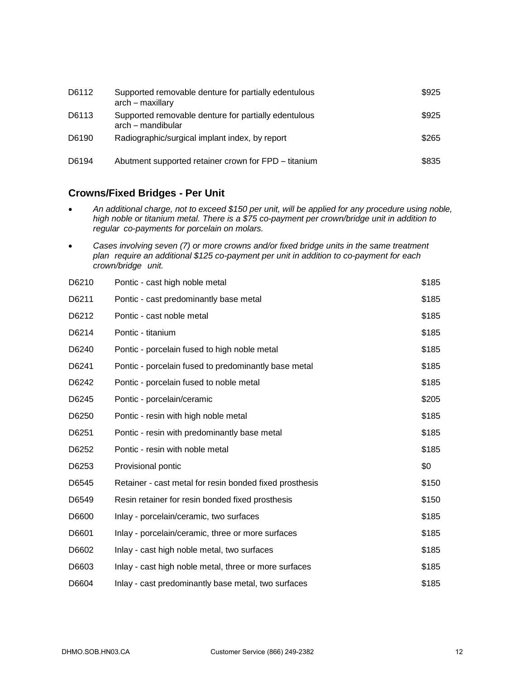| D6112 | Supported removable denture for partially edentulous<br>arch – maxillary  | \$925 |
|-------|---------------------------------------------------------------------------|-------|
| D6113 | Supported removable denture for partially edentulous<br>arch – mandibular | \$925 |
| D6190 | Radiographic/surgical implant index, by report                            | \$265 |
| D6194 | Abutment supported retainer crown for FPD - titanium                      | \$835 |

# **Crowns/Fixed Bridges - Per Unit**

- *An additional charge, not to exceed \$150 per unit, will be applied for any procedure using noble, high noble or titanium metal. There is a \$75 co-payment per crown/bridge unit in addition to regular co-payments for porcelain on molars.*
- *Cases involving seven (7) or more crowns and/or fixed bridge units in the same treatment plan require an additional \$125 co-payment per unit in addition to co-payment for each crown/bridge unit.*

| D6210 | Pontic - cast high noble metal                          | \$185 |
|-------|---------------------------------------------------------|-------|
| D6211 | Pontic - cast predominantly base metal                  | \$185 |
| D6212 | Pontic - cast noble metal                               | \$185 |
| D6214 | Pontic - titanium                                       | \$185 |
| D6240 | Pontic - porcelain fused to high noble metal            | \$185 |
| D6241 | Pontic - porcelain fused to predominantly base metal    | \$185 |
| D6242 | Pontic - porcelain fused to noble metal                 | \$185 |
| D6245 | Pontic - porcelain/ceramic                              | \$205 |
| D6250 | Pontic - resin with high noble metal                    | \$185 |
| D6251 | Pontic - resin with predominantly base metal            | \$185 |
| D6252 | Pontic - resin with noble metal                         | \$185 |
| D6253 | Provisional pontic                                      | \$0   |
| D6545 | Retainer - cast metal for resin bonded fixed prosthesis | \$150 |
| D6549 | Resin retainer for resin bonded fixed prosthesis        | \$150 |
| D6600 | Inlay - porcelain/ceramic, two surfaces                 | \$185 |
| D6601 | Inlay - porcelain/ceramic, three or more surfaces       | \$185 |
| D6602 | Inlay - cast high noble metal, two surfaces             | \$185 |
| D6603 | Inlay - cast high noble metal, three or more surfaces   | \$185 |
| D6604 | Inlay - cast predominantly base metal, two surfaces     | \$185 |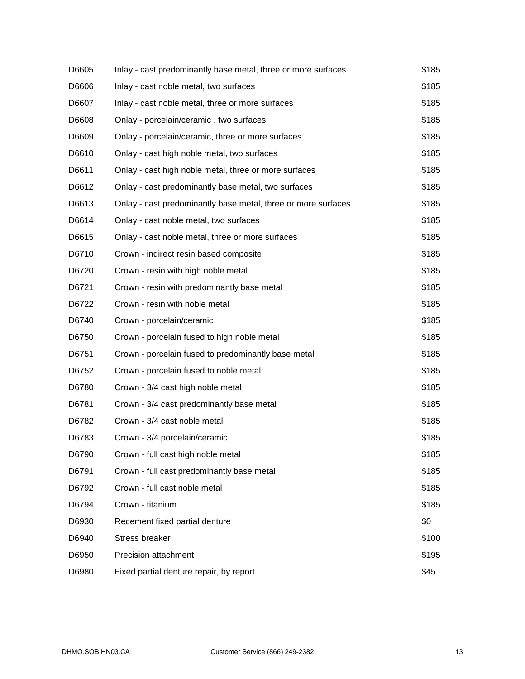| D6605 | Inlay - cast predominantly base metal, three or more surfaces | \$185 |
|-------|---------------------------------------------------------------|-------|
| D6606 | Inlay - cast noble metal, two surfaces                        | \$185 |
| D6607 | Inlay - cast noble metal, three or more surfaces              | \$185 |
| D6608 | Onlay - porcelain/ceramic, two surfaces                       | \$185 |
| D6609 | Onlay - porcelain/ceramic, three or more surfaces             | \$185 |
| D6610 | Onlay - cast high noble metal, two surfaces                   | \$185 |
| D6611 | Onlay - cast high noble metal, three or more surfaces         | \$185 |
| D6612 | Onlay - cast predominantly base metal, two surfaces           | \$185 |
| D6613 | Onlay - cast predominantly base metal, three or more surfaces | \$185 |
| D6614 | Onlay - cast noble metal, two surfaces                        | \$185 |
| D6615 | Onlay - cast noble metal, three or more surfaces              | \$185 |
| D6710 | Crown - indirect resin based composite                        | \$185 |
| D6720 | Crown - resin with high noble metal                           | \$185 |
| D6721 | Crown - resin with predominantly base metal                   | \$185 |
| D6722 | Crown - resin with noble metal                                | \$185 |
| D6740 | Crown - porcelain/ceramic                                     | \$185 |
| D6750 | Crown - porcelain fused to high noble metal                   | \$185 |
| D6751 | Crown - porcelain fused to predominantly base metal           | \$185 |
| D6752 | Crown - porcelain fused to noble metal                        | \$185 |
| D6780 | Crown - 3/4 cast high noble metal                             | \$185 |
| D6781 | Crown - 3/4 cast predominantly base metal                     | \$185 |
| D6782 | Crown - 3/4 cast noble metal                                  | \$185 |
| D6783 | Crown - 3/4 porcelain/ceramic                                 | \$185 |
| D6790 | Crown - full cast high noble metal                            | \$185 |
| D6791 | Crown - full cast predominantly base metal                    | \$185 |
| D6792 | Crown - full cast noble metal                                 | \$185 |
| D6794 | Crown - titanium                                              | \$185 |
| D6930 | Recement fixed partial denture                                | \$0   |
| D6940 | <b>Stress breaker</b>                                         | \$100 |
| D6950 | Precision attachment                                          | \$195 |
| D6980 | Fixed partial denture repair, by report                       | \$45  |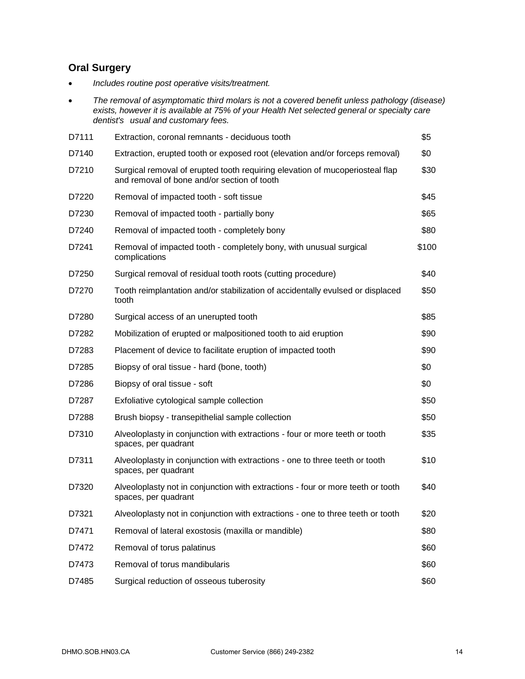# **Oral Surgery**

- *Includes routine post operative visits/treatment.*
- *The removal of asymptomatic third molars is not a covered benefit unless pathology (disease) exists, however it is available at 75% of your Health Net selected general or specialty care dentist's usual and customary fees.*

| D7111 | Extraction, coronal remnants - deciduous tooth                                                                              | \$5   |
|-------|-----------------------------------------------------------------------------------------------------------------------------|-------|
| D7140 | Extraction, erupted tooth or exposed root (elevation and/or forceps removal)                                                | \$0   |
| D7210 | Surgical removal of erupted tooth requiring elevation of mucoperiosteal flap<br>and removal of bone and/or section of tooth | \$30  |
| D7220 | Removal of impacted tooth - soft tissue                                                                                     | \$45  |
| D7230 | Removal of impacted tooth - partially bony                                                                                  | \$65  |
| D7240 | Removal of impacted tooth - completely bony                                                                                 | \$80  |
| D7241 | Removal of impacted tooth - completely bony, with unusual surgical<br>complications                                         | \$100 |
| D7250 | Surgical removal of residual tooth roots (cutting procedure)                                                                | \$40  |
| D7270 | Tooth reimplantation and/or stabilization of accidentally evulsed or displaced<br>tooth                                     | \$50  |
| D7280 | Surgical access of an unerupted tooth                                                                                       | \$85  |
| D7282 | Mobilization of erupted or malpositioned tooth to aid eruption                                                              | \$90  |
| D7283 | Placement of device to facilitate eruption of impacted tooth                                                                | \$90  |
| D7285 | Biopsy of oral tissue - hard (bone, tooth)                                                                                  | \$0   |
| D7286 | Biopsy of oral tissue - soft                                                                                                | \$0   |
| D7287 | Exfoliative cytological sample collection                                                                                   | \$50  |
| D7288 | Brush biopsy - transepithelial sample collection                                                                            | \$50  |
| D7310 | Alveoloplasty in conjunction with extractions - four or more teeth or tooth<br>spaces, per quadrant                         | \$35  |
| D7311 | Alveoloplasty in conjunction with extractions - one to three teeth or tooth<br>spaces, per quadrant                         | \$10  |
| D7320 | Alveoloplasty not in conjunction with extractions - four or more teeth or tooth<br>spaces, per quadrant                     | \$40  |
| D7321 | Alveoloplasty not in conjunction with extractions - one to three teeth or tooth                                             | \$20  |
| D7471 | Removal of lateral exostosis (maxilla or mandible)                                                                          | \$80  |
| D7472 | Removal of torus palatinus                                                                                                  | \$60  |
| D7473 | Removal of torus mandibularis                                                                                               | \$60  |
| D7485 | Surgical reduction of osseous tuberosity                                                                                    | \$60  |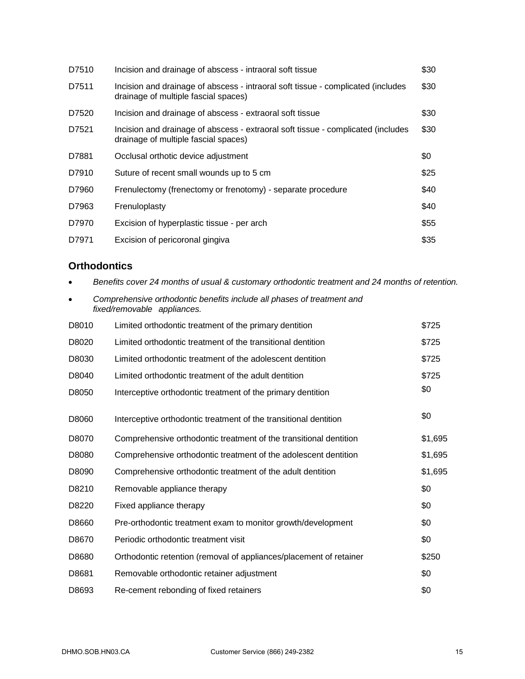| D7510 | Incision and drainage of abscess - intraoral soft tissue                                                                 | \$30 |
|-------|--------------------------------------------------------------------------------------------------------------------------|------|
| D7511 | Incision and drainage of abscess - intraoral soft tissue - complicated (includes<br>drainage of multiple fascial spaces) | \$30 |
| D7520 | Incision and drainage of abscess - extraoral soft tissue                                                                 | \$30 |
| D7521 | Incision and drainage of abscess - extraoral soft tissue - complicated (includes<br>drainage of multiple fascial spaces) | \$30 |
| D7881 | Occlusal orthotic device adjustment                                                                                      | \$0  |
| D7910 | Suture of recent small wounds up to 5 cm                                                                                 | \$25 |
| D7960 | Frenulectomy (frenectomy or frenotomy) - separate procedure                                                              | \$40 |
| D7963 | Frenuloplasty                                                                                                            | \$40 |
| D7970 | Excision of hyperplastic tissue - per arch                                                                               | \$55 |
| D7971 | Excision of pericoronal gingiva                                                                                          | \$35 |

### **Orthodontics**

- *Benefits cover 24 months of usual & customary orthodontic treatment and 24 months of retention.*
- *Comprehensive orthodontic benefits include all phases of treatment and fixed/removable appliances.*

| D8010 | Limited orthodontic treatment of the primary dentition             | \$725   |
|-------|--------------------------------------------------------------------|---------|
| D8020 | Limited orthodontic treatment of the transitional dentition        | \$725   |
| D8030 | Limited orthodontic treatment of the adolescent dentition          | \$725   |
| D8040 | Limited orthodontic treatment of the adult dentition               | \$725   |
| D8050 | Interceptive orthodontic treatment of the primary dentition        | \$0     |
| D8060 | Interceptive orthodontic treatment of the transitional dentition   | \$0     |
| D8070 | Comprehensive orthodontic treatment of the transitional dentition  | \$1,695 |
| D8080 | Comprehensive orthodontic treatment of the adolescent dentition    | \$1,695 |
| D8090 | Comprehensive orthodontic treatment of the adult dentition         | \$1,695 |
| D8210 | Removable appliance therapy                                        | \$0     |
| D8220 | Fixed appliance therapy                                            | \$0     |
| D8660 | Pre-orthodontic treatment exam to monitor growth/development       | \$0     |
| D8670 | Periodic orthodontic treatment visit                               | \$0     |
| D8680 | Orthodontic retention (removal of appliances/placement of retainer | \$250   |
| D8681 | Removable orthodontic retainer adjustment                          | \$0     |
| D8693 | Re-cement rebonding of fixed retainers                             | \$0     |